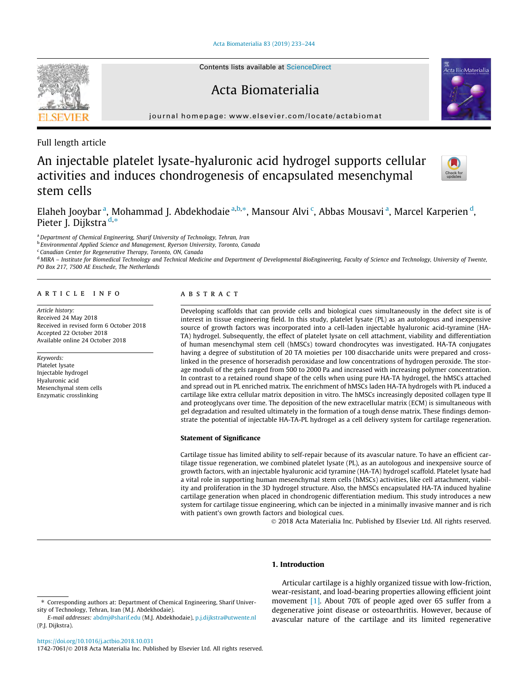[Acta Biomaterialia 83 \(2019\) 233–244](https://doi.org/10.1016/j.actbio.2018.10.031)



# Acta Biomaterialia



journal homepage: [www.elsevier.com/locate/actabiomat](http://www.elsevier.com/locate/actabiomat)

Full length article

# An injectable platelet lysate-hyaluronic acid hydrogel supports cellular activities and induces chondrogenesis of encapsulated mesenchymal stem cells



Elaheh Jooybar <sup>a</sup>, Mohammad J. Abdekhodaie <sup>a,b,</sup>\*, Mansour Alvi <sup>c</sup>, Abbas Mousavi <sup>a</sup>, Marcel Karperien <sup>d</sup>, Pieter J. Dijkstra d,\*

a Department of Chemical Engineering, Sharif University of Technology, Tehran, Iran

<sup>b</sup> Environmental Applied Science and Management, Ryerson University, Toronto, Canada

<sup>c</sup> Canadian Center for Regenerative Therapy, Toronto, ON, Canada

<sup>d</sup> MIRA - Institute for Biomedical Technology and Technical Medicine and Department of Developmental BioEngineering, Faculty of Science and Technology, University of Twente, PO Box 217, 7500 AE Enschede, The Netherlands

## article info

Article history: Received 24 May 2018 Received in revised form 6 October 2018 Accepted 22 October 2018 Available online 24 October 2018

# Keywords:

Platelet lysate Injectable hydrogel Hyaluronic acid Mesenchymal stem cells Enzymatic crosslinking

# **ABSTRACT**

Developing scaffolds that can provide cells and biological cues simultaneously in the defect site is of interest in tissue engineering field. In this study, platelet lysate (PL) as an autologous and inexpensive source of growth factors was incorporated into a cell-laden injectable hyaluronic acid-tyramine (HA-TA) hydrogel. Subsequently, the effect of platelet lysate on cell attachment, viability and differentiation of human mesenchymal stem cell (hMSCs) toward chondrocytes was investigated. HA-TA conjugates having a degree of substitution of 20 TA moieties per 100 disaccharide units were prepared and crosslinked in the presence of horseradish peroxidase and low concentrations of hydrogen peroxide. The storage moduli of the gels ranged from 500 to 2000 Pa and increased with increasing polymer concentration. In contrast to a retained round shape of the cells when using pure HA-TA hydrogel, the hMSCs attached and spread out in PL enriched matrix. The enrichment of hMSCs laden HA-TA hydrogels with PL induced a cartilage like extra cellular matrix deposition in vitro. The hMSCs increasingly deposited collagen type II and proteoglycans over time. The deposition of the new extracellular matrix (ECM) is simultaneous with gel degradation and resulted ultimately in the formation of a tough dense matrix. These findings demonstrate the potential of injectable HA-TA-PL hydrogel as a cell delivery system for cartilage regeneration.

#### Statement of Significance

Cartilage tissue has limited ability to self-repair because of its avascular nature. To have an efficient cartilage tissue regeneration, we combined platelet lysate (PL), as an autologous and inexpensive source of growth factors, with an injectable hyaluronic acid tyramine (HA-TA) hydrogel scaffold. Platelet lysate had a vital role in supporting human mesenchymal stem cells (hMSCs) activities, like cell attachment, viability and proliferation in the 3D hydrogel structure. Also, the hMSCs encapsulated HA-TA induced hyaline cartilage generation when placed in chondrogenic differentiation medium. This study introduces a new system for cartilage tissue engineering, which can be injected in a minimally invasive manner and is rich with patient's own growth factors and biological cues.

2018 Acta Materialia Inc. Published by Elsevier Ltd. All rights reserved.

# 1. Introduction

Articular cartilage is a highly organized tissue with low-friction, wear-resistant, and load-bearing properties allowing efficient joint movement [\[1\].](#page-10-0) About 70% of people aged over 65 suffer from a degenerative joint disease or osteoarthritis. However, because of avascular nature of the cartilage and its limited regenerative

1742-7061/© 2018 Acta Materialia Inc. Published by Elsevier Ltd. All rights reserved.

<sup>⇑</sup> Corresponding authors at: Department of Chemical Engineering, Sharif University of Technology, Tehran, Iran (M.J. Abdekhodaie).

E-mail addresses: [abdmj@sharif.edu](mailto:abdmj@sharif.edu) (M.J. Abdekhodaie), [p.j.dijkstra@utwente.nl](mailto:p.j.dijkstra@utwente.nl) (P.J. Dijkstra).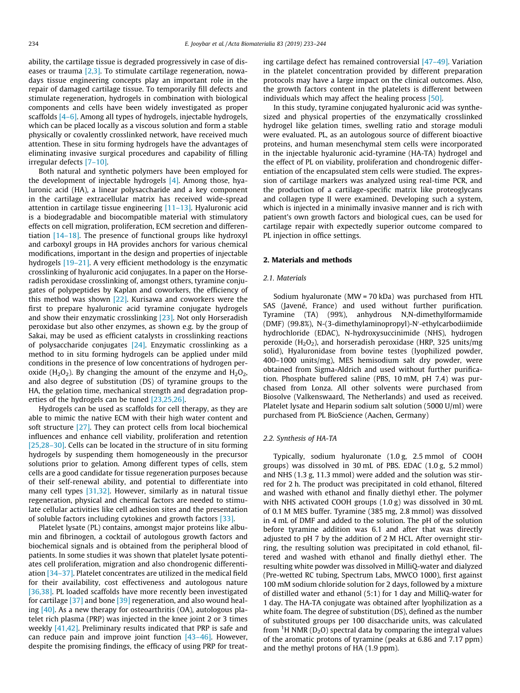ability, the cartilage tissue is degraded progressively in case of diseases or trauma [\[2,3\].](#page-10-0) To stimulate cartilage regeneration, nowadays tissue engineering concepts play an important role in the repair of damaged cartilage tissue. To temporarily fill defects and stimulate regeneration, hydrogels in combination with biological components and cells have been widely investigated as proper scaffolds [\[4–6\].](#page-10-0) Among all types of hydrogels, injectable hydrogels, which can be placed locally as a viscous solution and form a stable physically or covalently crosslinked network, have received much attention. These in situ forming hydrogels have the advantages of eliminating invasive surgical procedures and capability of filling irregular defects [\[7–10\]](#page-10-0).

Both natural and synthetic polymers have been employed for the development of injectable hydrogels [\[4\].](#page-10-0) Among those, hyaluronic acid (HA), a linear polysaccharide and a key component in the cartilage extracellular matrix has received wide-spread attention in cartilage tissue engineering [\[11–13\].](#page-10-0) Hyaluronic acid is a biodegradable and biocompatible material with stimulatory effects on cell migration, proliferation, ECM secretion and differentiation [\[14–18\].](#page-10-0) The presence of functional groups like hydroxyl and carboxyl groups in HA provides anchors for various chemical modifications, important in the design and properties of injectable hydrogels [\[19–21\]](#page-10-0). A very efficient methodology is the enzymatic crosslinking of hyaluronic acid conjugates. In a paper on the Horseradish peroxidase crosslinking of, amongst others, tyramine conjugates of polypeptides by Kaplan and coworkers, the efficiency of this method was shown [\[22\]](#page-10-0). Kurisawa and coworkers were the first to prepare hyaluronic acid tyramine conjugate hydrogels and show their enzymatic crosslinking [\[23\]](#page-10-0). Not only Horseradish peroxidase but also other enzymes, as shown e.g. by the group of Sakai, may be used as efficient catalysts in crosslinking reactions of polysaccharide conjugates [\[24\]](#page-11-0). Enzymatic crosslinking as a method to in situ forming hydrogels can be applied under mild conditions in the presence of low concentrations of hydrogen peroxide ( $H_2O_2$ ). By changing the amount of the enzyme and  $H_2O_2$ , and also degree of substitution (DS) of tyramine groups to the HA, the gelation time, mechanical strength and degradation properties of the hydrogels can be tuned [\[23,25,26\]](#page-10-0).

Hydrogels can be used as scaffolds for cell therapy, as they are able to mimic the native ECM with their high water content and soft structure [\[27\]](#page-11-0). They can protect cells from local biochemical influences and enhance cell viability, proliferation and retention [\[25,28–30\].](#page-11-0) Cells can be located in the structure of in situ forming hydrogels by suspending them homogeneously in the precursor solutions prior to gelation. Among different types of cells, stem cells are a good candidate for tissue regeneration purposes because of their self-renewal ability, and potential to differentiate into many cell types [\[31,32\].](#page-11-0) However, similarly as in natural tissue regeneration, physical and chemical factors are needed to stimulate cellular activities like cell adhesion sites and the presentation of soluble factors including cytokines and growth factors [\[33\].](#page-11-0)

Platelet lysate (PL) contains, amongst major proteins like albumin and fibrinogen, a cocktail of autologous growth factors and biochemical signals and is obtained from the peripheral blood of patients. In some studies it was shown that platelet lysate potentiates cell proliferation, migration and also chondrogenic differentiation [\[34–37\].](#page-11-0) Platelet concentrates are utilized in the medical field for their availability, cost effectiveness and autologous nature [\[36,38\].](#page-11-0) PL loaded scaffolds have more recently been investigated for cartilage [\[37\]](#page-11-0) and bone [\[39\]](#page-11-0) regeneration, and also wound healing  $[40]$ . As a new therapy for osteoarthritis (OA), autologous platelet rich plasma (PRP) was injected in the knee joint 2 or 3 times weekly [\[41,42\]](#page-11-0). Preliminary results indicated that PRP is safe and can reduce pain and improve joint function [\[43–46\].](#page-11-0) However, despite the promising findings, the efficacy of using PRP for treating cartilage defect has remained controversial [\[47–49\]](#page-11-0). Variation in the platelet concentration provided by different preparation protocols may have a large impact on the clinical outcomes. Also, the growth factors content in the platelets is different between individuals which may affect the healing process [\[50\]](#page-11-0).

In this study, tyramine conjugated hyaluronic acid was synthesized and physical properties of the enzymatically crosslinked hydrogel like gelation times, swelling ratio and storage moduli were evaluated. PL, as an autologous source of different bioactive proteins, and human mesenchymal stem cells were incorporated in the injectable hyaluronic acid-tyramine (HA-TA) hydrogel and the effect of PL on viability, proliferation and chondrogenic differentiation of the encapsulated stem cells were studied. The expression of cartilage markers was analyzed using real-time PCR, and the production of a cartilage-specific matrix like proteoglycans and collagen type II were examined. Developing such a system, which is injected in a minimally invasive manner and is rich with patient's own growth factors and biological cues, can be used for cartilage repair with expectedly superior outcome compared to PL injection in office settings.

## 2. Materials and methods

#### 2.1. Materials

Sodium hyaluronate (MW = 70 kDa) was purchased from HTL SAS (Javené, France) and used without further purification. Tyramine (TA) (99%), anhydrous N,N-dimethylformamide (DMF) (99.8%), N-(3-dimethylaminopropyl)-N'-ethylcarbodiimide hydrochloride (EDAC), N-hydroxysuccinimide (NHS), hydrogen peroxide ( $H_2O_2$ ), and horseradish peroxidase (HRP, 325 units/mg solid), Hyaluronidase from bovine testes (lyophilized powder, 400–1000 units/mg), MES hemisodium salt dry powder, were obtained from Sigma-Aldrich and used without further purification. Phosphate buffered saline (PBS, 10 mM, pH 7.4) was purchased from Lonza. All other solvents were purchased from Biosolve (Valkenswaard, The Netherlands) and used as received. Platelet lysate and Heparin sodium salt solution (5000 U/ml) were purchased from PL BioScience (Aachen, Germany)

## 2.2. Synthesis of HA-TA

Typically, sodium hyaluronate (1.0 g, 2.5 mmol of COOH groups) was dissolved in 30 mL of PBS. EDAC (1.0 g, 5.2 mmol) and NHS (1.3 g, 11.3 mmol) were added and the solution was stirred for 2 h. The product was precipitated in cold ethanol, filtered and washed with ethanol and finally diethyl ether. The polymer with NHS activated COOH groups (1.0 g) was dissolved in 30 mL of 0.1 M MES buffer. Tyramine (385 mg, 2.8 mmol) was dissolved in 4 mL of DMF and added to the solution. The pH of the solution before tyramine addition was 6.1 and after that was directly adjusted to pH 7 by the addition of 2 M HCL. After overnight stirring, the resulting solution was precipitated in cold ethanol, filtered and washed with ethanol and finally diethyl ether. The resulting white powder was dissolved in MilliQ-water and dialyzed (Pre-wetted RC tubing, Spectrum Labs, MWCO 1000), first against 100 mM sodium chloride solution for 2 days, followed by a mixture of distilled water and ethanol (5:1) for 1 day and MilliQ-water for 1 day. The HA-TA conjugate was obtained after lyophilization as a white foam. The degree of substitution (DS), defined as the number of substituted groups per 100 disaccharide units, was calculated from  ${}^{1}$ H NMR (D<sub>2</sub>O) spectral data by comparing the integral values of the aromatic protons of tyramine (peaks at 6.86 and 7.17 ppm) and the methyl protons of HA (1.9 ppm).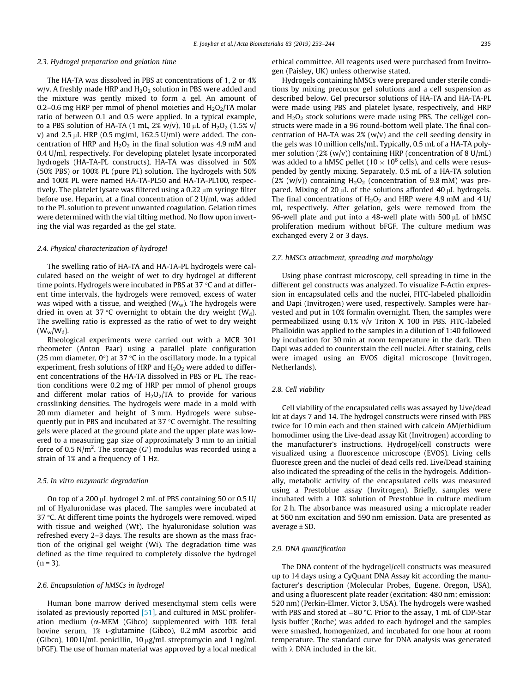#### 2.3. Hydrogel preparation and gelation time

The HA-TA was dissolved in PBS at concentrations of 1, 2 or 4% w/v. A freshly made HRP and  $H_2O_2$  solution in PBS were added and the mixture was gently mixed to form a gel. An amount of 0.2–0.6 mg HRP per mmol of phenol moieties and  $H_2O_2/TA$  molar ratio of between 0.1 and 0.5 were applied. In a typical example, to a PBS solution of HA-TA (1 mL, 2% w/v), 10  $\mu$ L of H<sub>2</sub>O<sub>2</sub> (1.5% v/ v) and  $2.5 \mu$ L HRP (0.5 mg/ml, 162.5 U/ml) were added. The concentration of HRP and  $H_2O_2$  in the final solution was 4.9 mM and 0.4 U/ml, respectively. For developing platelet lysate incorporated hydrogels (HA-TA-PL constructs), HA-TA was dissolved in 50% (50% PBS) or 100% PL (pure PL) solution. The hydrogels with 50% and 100% PL were named HA-TA-PL50 and HA-TA-PL100, respectively. The platelet lysate was filtered using a  $0.22 \mu m$  syringe filter before use. Heparin, at a final concentration of 2 U/ml, was added to the PL solution to prevent unwanted coagulation. Gelation times were determined with the vial tilting method. No flow upon inverting the vial was regarded as the gel state.

## 2.4. Physical characterization of hydrogel

The swelling ratio of HA-TA and HA-TA-PL hydrogels were calculated based on the weight of wet to dry hydrogel at different time points. Hydrogels were incubated in PBS at 37  $\degree$ C and at different time intervals, the hydrogels were removed, excess of water was wiped with a tissue, and weighed  $(W_w)$ . The hydrogels were dried in oven at 37 °C overnight to obtain the dry weight  $(W_d)$ . The swelling ratio is expressed as the ratio of wet to dry weight  $(W_w/W_d)$ .

Rheological experiments were carried out with a MCR 301 rheometer (Anton Paar) using a parallel plate configuration (25 mm diameter,  $0^{\circ}$ ) at 37 °C in the oscillatory mode. In a typical experiment, fresh solutions of HRP and  $H_2O_2$  were added to different concentrations of the HA-TA dissolved in PBS or PL. The reaction conditions were 0.2 mg of HRP per mmol of phenol groups and different molar ratios of  $H_2O_2/TA$  to provide for various crosslinking densities. The hydrogels were made in a mold with 20 mm diameter and height of 3 mm. Hydrogels were subsequently put in PBS and incubated at 37  $\degree$ C overnight. The resulting gels were placed at the ground plate and the upper plate was lowered to a measuring gap size of approximately 3 mm to an initial force of 0.5 N/m<sup>2</sup>. The storage (G') modulus was recorded using a strain of 1% and a frequency of 1 Hz.

## 2.5. In vitro enzymatic degradation

On top of a 200  $\mu$ L hydrogel 2 mL of PBS containing 50 or 0.5 U/ ml of Hyaluronidase was placed. The samples were incubated at 37  $\degree$ C. At different time points the hydrogels were removed, wiped with tissue and weighed (Wt). The hyaluronidase solution was refreshed every 2–3 days. The results are shown as the mass fraction of the original gel weight (Wi). The degradation time was defined as the time required to completely dissolve the hydrogel  $(n = 3)$ .

## 2.6. Encapsulation of hMSCs in hydrogel

Human bone marrow derived mesenchymal stem cells were isolated as previously reported  $[51]$ , and cultured in MSC proliferation medium ( $\alpha$ -MEM (Gibco) supplemented with 10% fetal bovine serum, 1% L-glutamine (Gibco), 0.2 mM ascorbic acid (Gibco), 100 U/mL penicillin, 10  $\mu$ g/mL streptomycin and 1 ng/mL bFGF). The use of human material was approved by a local medical ethical committee. All reagents used were purchased from Invitrogen (Paisley, UK) unless otherwise stated.

Hydrogels containing hMSCs were prepared under sterile conditions by mixing precursor gel solutions and a cell suspension as described below. Gel precursor solutions of HA-TA and HA-TA-PL were made using PBS and platelet lysate, respectively, and HRP and  $H_2O_2$  stock solutions were made using PBS. The cell/gel constructs were made in a 96 round-bottom well plate. The final concentration of HA-TA was  $2\%$  (w/v) and the cell seeding density in the gels was 10 million cells/mL. Typically, 0.5 mL of a HA-TA polymer solution (2% (w/v)) containing HRP (concentration of 8 U/mL) was added to a hMSC pellet ( $10 \times 10^6$  cells), and cells were resuspended by gently mixing. Separately, 0.5 mL of a HA-TA solution (2% (w/v)) containing  $H_2O_2$  (concentration of 9.8 mM) was prepared. Mixing of 20  $\mu$ L of the solutions afforded 40  $\mu$ L hydrogels. The final concentrations of  $H_2O_2$  and HRP were 4.9 mM and 4 U/ ml, respectively. After gelation, gels were removed from the 96-well plate and put into a 48-well plate with 500  $\mu$ L of hMSC proliferation medium without bFGF. The culture medium was exchanged every 2 or 3 days.

#### 2.7. hMSCs attachment, spreading and morphology

Using phase contrast microscopy, cell spreading in time in the different gel constructs was analyzed. To visualize F-Actin expression in encapsulated cells and the nuclei, FITC-labeled phalloidin and Dapi (Invitrogen) were used, respectively. Samples were harvested and put in 10% formalin overnight. Then, the samples were permeabilized using 0.1% v/v Triton X 100 in PBS. FITC-labeled Phalloidin was applied to the samples in a dilution of 1:40 followed by incubation for 30 min at room temperature in the dark. Then Dapi was added to counterstain the cell nuclei. After staining, cells were imaged using an EVOS digital microscope (Invitrogen, Netherlands).

#### 2.8. Cell viability

Cell viability of the encapsulated cells was assayed by Live/dead kit at days 7 and 14. The hydrogel constructs were rinsed with PBS twice for 10 min each and then stained with calcein AM/ethidium homodimer using the Live-dead assay Kit (Invitrogen) according to the manufacturer's instructions. Hydrogel/cell constructs were visualized using a fluorescence microscope (EVOS). Living cells fluoresce green and the nuclei of dead cells red. Live/Dead staining also indicated the spreading of the cells in the hydrogels. Additionally, metabolic activity of the encapsulated cells was measured using a Prestoblue assay (Invitrogen). Briefly, samples were incubated with a 10% solution of Prestoblue in culture medium for 2 h. The absorbance was measured using a microplate reader at 560 nm excitation and 590 nm emission. Data are presented as average ± SD.

## 2.9. DNA quantification

The DNA content of the hydrogel/cell constructs was measured up to 14 days using a CyQuant DNA Assay kit according the manufacturer's description (Molecular Probes, Eugene, Oregon, USA), and using a fluorescent plate reader (excitation: 480 nm; emission: 520 nm) (Perkin-Elmer, Victor 3, USA). The hydrogels were washed with PBS and stored at  $-80$  °C. Prior to the assay, 1 mL of CDP-Star lysis buffer (Roche) was added to each hydrogel and the samples were smashed, homogenized, and incubated for one hour at room temperature. The standard curve for DNA analysis was generated with  $\lambda$  DNA included in the kit.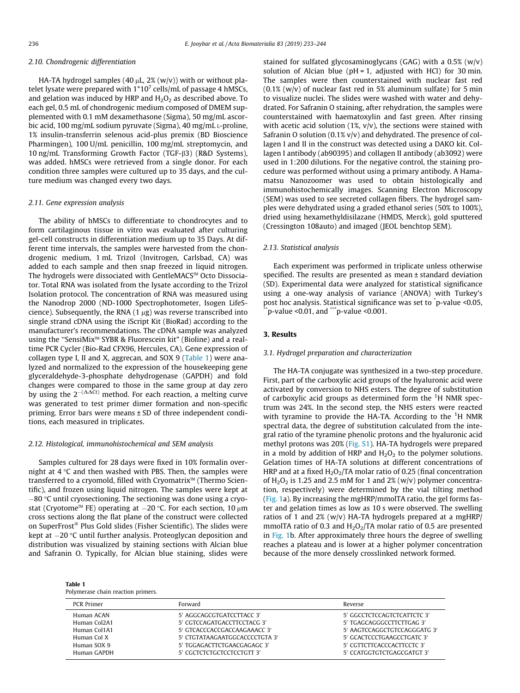#### 2.10. Chondrogenic differentiation

HA-TA hydrogel samples (40  $\mu$ L, 2% (w/y)) with or without platelet lysate were prepared with  $1*10^7$  cells/mL of passage 4 hMSCs, and gelation was induced by HRP and  $H_2O_2$  as described above. To each gel, 0.5 mL of chondrogenic medium composed of DMEM supplemented with 0.1 mM dexamethasone (Sigma), 50 mg/mL ascorbic acid, 100 mg/mL sodium pyruvate (Sigma), 40 mg/mL L-proline, 1% insulin-transferrin selenous acid-plus premix (BD Bioscience Pharmingen), 100 U/mL penicillin, 100 mg/mL streptomycin, and 10 ng/mL Transforming Growth Factor (TGF-ß3) (R&D Systems), was added. hMSCs were retrieved from a single donor. For each condition three samples were cultured up to 35 days, and the culture medium was changed every two days.

#### 2.11. Gene expression analysis

The ability of hMSCs to differentiate to chondrocytes and to form cartilaginous tissue in vitro was evaluated after culturing gel-cell constructs in differentiation medium up to 35 Days. At different time intervals, the samples were harvested from the chondrogenic medium, 1 mL Trizol (Invitrogen, Carlsbad, CA) was added to each sample and then snap freezed in liquid nitrogen. The hydrogels were dissociated with GentleMACS<sup>™</sup> Octo Dissociator. Total RNA was isolated from the lysate according to the Trizol Isolation protocol. The concentration of RNA was measured using the Nanodrop 2000 (ND-1000 Spectrophotometer, Isogen LifeScience). Subsequently, the RNA  $(1 \mu g)$  was reverse transcribed into single strand cDNA using the iScript Kit (BioRad) according to the manufacturer's recommendations. The cDNA sample was analyzed using the "SensiMix<sup>™</sup> SYBR & Fluorescein kit" (Bioline) and a realtime PCR Cycler (Bio-Rad CFX96, Hercules, CA). Gene expression of collagen type I, II and X, aggrecan, and SOX 9 (Table 1) were analyzed and normalized to the expression of the housekeeping gene glyceraldehyde-3-phosphate dehydrogenase (GAPDH) and fold changes were compared to those in the same group at day zero by using the  $2^{-(\Delta\hat{\Delta Ct})}$  method. For each reaction, a melting curve was generated to test primer dimer formation and non-specific priming. Error bars were means ± SD of three independent conditions, each measured in triplicates.

#### 2.12. Histological, immunohistochemical and SEM analysis

Samples cultured for 28 days were fixed in 10% formalin overnight at  $4^{\circ}$ C and then washed with PBS. Then, the samples were transferred to a cryomold, filled with Cryomatrix™ (Thermo Scientific), and frozen using liquid nitrogen. The samples were kept at  $-80$  °C until cryosectioning. The sectioning was done using a cryostat (Cryotome<sup> $M$ </sup> FE) operating at  $-20$  °C. For each section, 10  $\mu$ m cross sections along the flat plane of the construct were collected on SuperFrost® Plus Gold slides (Fisher Scientific). The slides were kept at  $-20$  °C until further analysis. Proteoglycan deposition and distribution was visualized by staining sections with Alcian blue and Safranin O. Typically, for Alcian blue staining, slides were

Table 1 Polymerase chain reaction primers.

stained for sulfated glycosaminoglycans (GAG) with a 0.5% (w/v) solution of Alcian blue ( $pH = 1$ , adjusted with HCl) for 30 min. The samples were then counterstained with nuclear fast red  $(0.1\%$  (w/v) of nuclear fast red in 5% aluminum sulfate) for 5 min to visualize nuclei. The slides were washed with water and dehydrated. For Safranin O staining, after rehydration, the samples were counterstained with haematoxylin and fast green. After rinsing with acetic acid solution (1%,  $v/v$ ), the sections were stained with Safranin O solution (0.1%  $v/v$ ) and dehydrated. The presence of collagen I and II in the construct was detected using a DAKO kit. Collagen I antibody (ab90395) and collagen II antibody (ab3092) were used in 1:200 dilutions. For the negative control, the staining procedure was performed without using a primary antibody. A Hamamatsu Nanozoomer was used to obtain histologically and immunohistochemically images. Scanning Electron Microscopy (SEM) was used to see secreted collagen fibers. The hydrogel samples were dehydrated using a graded ethanol series (50% to 100%), dried using hexamethyldisilazane (HMDS, Merck), gold sputtered (Cressington 108auto) and imaged (JEOL benchtop SEM).

## 2.13. Statistical analysis

Each experiment was performed in triplicate unless otherwise specified. The results are presented as mean ± standard deviation (SD). Experimental data were analyzed for statistical significance using a one-way analysis of variance (ANOVA) with Turkey's post hoc analysis. Statistical significance was set to <sup>\*</sup>p-value <0.05,  $\mathrm{^{*}p}\text{-}value < 0.01$ , and  $\mathrm{^{***}p}\text{-}value < 0.001$ .

## 3. Results

## 3.1. Hydrogel preparation and characterization

The HA-TA conjugate was synthesized in a two-step procedure. First, part of the carboxylic acid groups of the hyaluronic acid were activated by conversion to NHS esters. The degree of substitution of carboxylic acid groups as determined form the  ${}^{1}$ H NMR spectrum was 24%. In the second step, the NHS esters were reacted with tyramine to provide the HA-TA. According to the  ${}^{1}$ H NMR spectral data, the degree of substitution calculated from the integral ratio of the tyramine phenolic protons and the hyaluronic acid methyl protons was 20% (Fig. S1). HA-TA hydrogels were prepared in a mold by addition of HRP and  $H_2O_2$  to the polymer solutions. Gelation times of HA-TA solutions at different concentrations of HRP and at a fixed  $H_2O_2/TA$  molar ratio of 0.25 (final concentration of  $H_2O_2$  is 1.25 and 2.5 mM for 1 and 2% (w/v) polymer concentration, respectively) were determined by the vial tilting method ([Fig. 1](#page-4-0)a). By increasing the mgHRP/mmolTA ratio, the gel forms faster and gelation times as low as 10 s were observed. The swelling ratios of 1 and  $2\%$  (w/v) HA-TA hydrogels prepared at a mgHRP/ mmolTA ratio of 0.3 and  $H_2O_2/TA$  molar ratio of 0.5 are presented in [Fig. 1](#page-4-0)b. After approximately three hours the degree of swelling reaches a plateau and is lower at a higher polymer concentration because of the more densely crosslinked network formed.

| <b>PCR Primer</b> | Forward                        | Reverse                      |
|-------------------|--------------------------------|------------------------------|
| Human ACAN        | 5' AGGCAGCGTGATCCTTACC 3'      | 5' GGCCTCTCCAGTCTCATTCTC 3'  |
| Human Col2A1      | 5' CGTCCAGATGACCTTCCTACG 3'    | 5' TGAGCAGGGCCTTCTTGAG 3'    |
| Human Col1A1      | 5' GTCACCCACCGACCAAGAAACC 3'   | 5' AAGTCCAGGCTGTCCAGGGATG 3' |
| Human Col X       | 5' CTGTATAAGAATGGCACCCCTGTA 3' | 5' GCACTCCCTGAAGCCTGATC 3'   |
| Human SOX 9       | 5' TGGAGACTTCTGAACGAGAGC 3'    | 5' CGTTCTTCACCCACTTCCTC 3'   |
| Human GAPDH       | 5' CGCTCTCTGCTCCTCCTGTT 3'     | 5' CCATGGTGTCTGAGCGATGT 3'   |
|                   |                                |                              |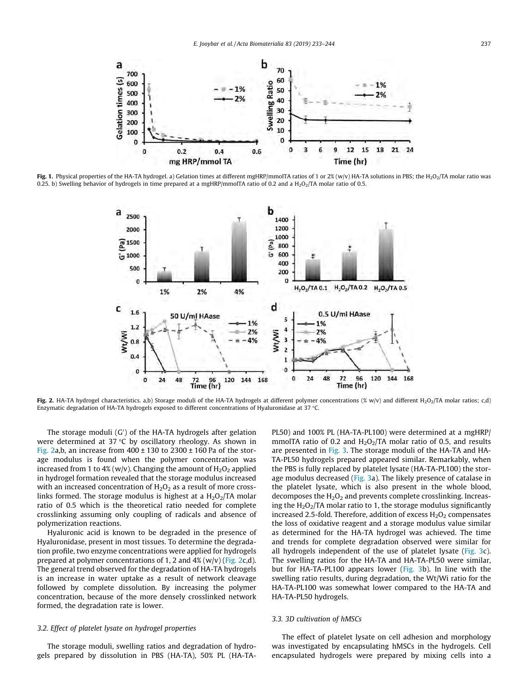<span id="page-4-0"></span>

Fig. 1. Physical properties of the HA-TA hydrogel. a) Gelation times at different mgHRP/mmolTA ratios of 1 or 2% (w/v) HA-TA solutions in PBS; the H<sub>2</sub>O<sub>2</sub>/TA molar ratio was 0.25. b) Swelling behavior of hydrogels in time prepared at a mgHRP/mmolTA ratio of 0.2 and a  $H_2O_2/TA$  molar ratio of 0.5.



Fig. 2. HA-TA hydrogel characteristics. a,b) Storage moduli of the HA-TA hydrogels at different polymer concentrations (% w/v) and different H<sub>2</sub>O<sub>2</sub>/TA molar ratios; c,d) Enzymatic degradation of HA-TA hydrogels exposed to different concentrations of Hyaluronidase at 37 C.

The storage moduli (G') of the HA-TA hydrogels after gelation were determined at 37 $\degree$ C by oscillatory rheology. As shown in Fig. 2a,b, an increase from  $400 \pm 130$  to  $2300 \pm 160$  Pa of the storage modulus is found when the polymer concentration was increased from 1 to 4% (w/v). Changing the amount of  $H_2O_2$  applied in hydrogel formation revealed that the storage modulus increased with an increased concentration of  $H_2O_2$  as a result of more crosslinks formed. The storage modulus is highest at a  $H_2O_2/TA$  molar ratio of 0.5 which is the theoretical ratio needed for complete crosslinking assuming only coupling of radicals and absence of polymerization reactions.

Hyaluronic acid is known to be degraded in the presence of Hyaluronidase, present in most tissues. To determine the degradation profile, two enzyme concentrations were applied for hydrogels prepared at polymer concentrations of 1, 2 and 4% (w/v) (Fig. 2c,d). The general trend observed for the degradation of HA-TA hydrogels is an increase in water uptake as a result of network cleavage followed by complete dissolution. By increasing the polymer concentration, because of the more densely crosslinked network formed, the degradation rate is lower.

## 3.2. Effect of platelet lysate on hydrogel properties

The storage moduli, swelling ratios and degradation of hydrogels prepared by dissolution in PBS (HA-TA), 50% PL (HA-TA- PL50) and 100% PL (HA-TA-PL100) were determined at a mgHRP/ mmolTA ratio of 0.2 and  $H_2O_2/TA$  molar ratio of 0.5, and results are presented in [Fig. 3](#page-5-0). The storage moduli of the HA-TA and HA-TA-PL50 hydrogels prepared appeared similar. Remarkably, when the PBS is fully replaced by platelet lysate (HA-TA-PL100) the storage modulus decreased ([Fig. 3a](#page-5-0)). The likely presence of catalase in the platelet lysate, which is also present in the whole blood, decomposes the  $H_2O_2$  and prevents complete crosslinking. Increasing the  $H_2O_2/TA$  molar ratio to 1, the storage modulus significantly increased 2.5-fold. Therefore, addition of excess  $H_2O_2$  compensates the loss of oxidative reagent and a storage modulus value similar as determined for the HA-TA hydrogel was achieved. The time and trends for complete degradation observed were similar for all hydrogels independent of the use of platelet lysate [\(Fig. 3c](#page-5-0)). The swelling ratios for the HA-TA and HA-TA-PL50 were similar, but for HA-TA-PL100 appears lower ([Fig. 3b](#page-5-0)). In line with the swelling ratio results, during degradation, the Wt/Wi ratio for the HA-TA-PL100 was somewhat lower compared to the HA-TA and HA-TA-PL50 hydrogels.

## 3.3. 3D cultivation of hMSCs

The effect of platelet lysate on cell adhesion and morphology was investigated by encapsulating hMSCs in the hydrogels. Cell encapsulated hydrogels were prepared by mixing cells into a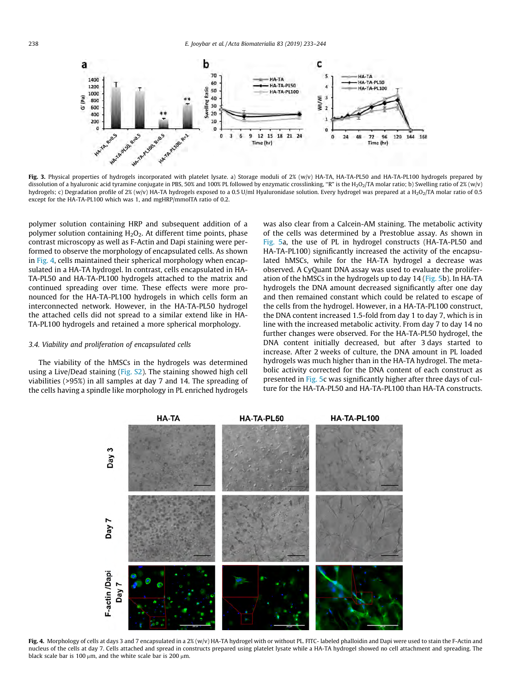<span id="page-5-0"></span>

Fig. 3. Physical properties of hydrogels incorporated with platelet lysate. a) Storage moduli of 2% (w/v) HA-TA, HA-TA-PL50 and HA-TA-PL100 hydrogels prepared by dissolution of a hyaluronic acid tyramine conjugate in PBS, 50% and 100% PL followed by enzymatic crosslinking, "R" is the H<sub>2</sub>O<sub>2</sub>/TA molar ratio; b) Swelling ratio of 2% (w/v) hydrogels; c) Degradation profile of 2% (w/v) HA-TA hydrogels exposed to a 0.5 U/ml Hyaluronidase solution. Every hydrogel was prepared at a H<sub>2</sub>O<sub>2</sub>/TA molar ratio of 0.5 except for the HA-TA-PL100 which was 1, and mgHRP/mmolTA ratio of 0.2.

polymer solution containing HRP and subsequent addition of a polymer solution containing  $H_2O_2$ . At different time points, phase contrast microscopy as well as F-Actin and Dapi staining were performed to observe the morphology of encapsulated cells. As shown in Fig. 4, cells maintained their spherical morphology when encapsulated in a HA-TA hydrogel. In contrast, cells encapsulated in HA-TA-PL50 and HA-TA-PL100 hydrogels attached to the matrix and continued spreading over time. These effects were more pronounced for the HA-TA-PL100 hydrogels in which cells form an interconnected network. However, in the HA-TA-PL50 hydrogel the attached cells did not spread to a similar extend like in HA-TA-PL100 hydrogels and retained a more spherical morphology.

# 3.4. Viability and proliferation of encapsulated cells

The viability of the hMSCs in the hydrogels was determined using a Live/Dead staining (Fig. S2). The staining showed high cell viabilities (>95%) in all samples at day 7 and 14. The spreading of the cells having a spindle like morphology in PL enriched hydrogels was also clear from a Calcein-AM staining. The metabolic activity of the cells was determined by a Prestoblue assay. As shown in [Fig. 5a](#page-6-0), the use of PL in hydrogel constructs (HA-TA-PL50 and HA-TA-PL100) significantly increased the activity of the encapsulated hMSCs, while for the HA-TA hydrogel a decrease was observed. A CyQuant DNA assay was used to evaluate the proliferation of the hMSCs in the hydrogels up to day 14 [\(Fig. 5](#page-6-0)b). In HA-TA hydrogels the DNA amount decreased significantly after one day and then remained constant which could be related to escape of the cells from the hydrogel. However, in a HA-TA-PL100 construct, the DNA content increased 1.5-fold from day 1 to day 7, which is in line with the increased metabolic activity. From day 7 to day 14 no further changes were observed. For the HA-TA-PL50 hydrogel, the DNA content initially decreased, but after 3 days started to increase. After 2 weeks of culture, the DNA amount in PL loaded hydrogels was much higher than in the HA-TA hydrogel. The metabolic activity corrected for the DNA content of each construct as presented in [Fig. 5](#page-6-0)c was significantly higher after three days of culture for the HA-TA-PL50 and HA-TA-PL100 than HA-TA constructs.



Fig. 4. Morphology of cells at days 3 and 7 encapsulated in a 2% (w/v) HA-TA hydrogel with or without PL. FITC- labeled phalloidin and Dapi were used to stain the F-Actin and nucleus of the cells at day 7. Cells attached and spread in constructs prepared using platelet lysate while a HA-TA hydrogel showed no cell attachment and spreading. The black scale bar is 100  $\mu$ m, and the white scale bar is 200  $\mu$ m.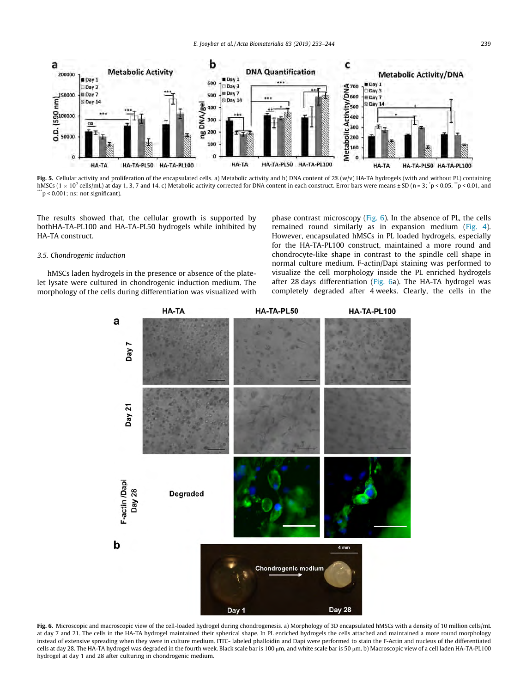<span id="page-6-0"></span>

Fig. 5. Cellular activity and proliferation of the encapsulated cells. a) Metabolic activity and b) DNA content of  $2\%$  (w/v) HA-TA hydrogels (with and without PL) containing  $\mathrm{hMSSc}$  (1  $\times$  10<sup>7</sup> cells/mL) at day 1, 3, 7 and 14. c) Metabolic activity corrected for DNA content in each construct. Error bars were means ± SD (n = 3; \*p < 0.05, \*\*p < 0.01, and  $\ddot{p}$  < 0.001; ns: not significant).

The results showed that, the cellular growth is supported by bothHA-TA-PL100 and HA-TA-PL50 hydrogels while inhibited by HA-TA construct.

## 3.5. Chondrogenic induction

hMSCs laden hydrogels in the presence or absence of the platelet lysate were cultured in chondrogenic induction medium. The morphology of the cells during differentiation was visualized with phase contrast microscopy (Fig. 6). In the absence of PL, the cells remained round similarly as in expansion medium ([Fig. 4\)](#page-5-0). However, encapsulated hMSCs in PL loaded hydrogels, especially for the HA-TA-PL100 construct, maintained a more round and chondrocyte-like shape in contrast to the spindle cell shape in normal culture medium. F-actin/Dapi staining was performed to visualize the cell morphology inside the PL enriched hydrogels after 28 days differentiation (Fig. 6a). The HA-TA hydrogel was completely degraded after 4 weeks. Clearly, the cells in the



Fig. 6. Microscopic and macroscopic view of the cell-loaded hydrogel during chondrogenesis. a) Morphology of 3D encapsulated hMSCs with a density of 10 million cells/mL at day 7 and 21. The cells in the HA-TA hydrogel maintained their spherical shape. In PL enriched hydrogels the cells attached and maintained a more round morphology instead of extensive spreading when they were in culture medium. FITC- labeled phalloidin and Dapi were performed to stain the F-Actin and nucleus of the differentiated cells at day 28. The HA-TA hydrogel was degraded in the fourth week. Black scale bar is 100 µm, and white scale bar is 50 µm. b) Macroscopic view of a cell laden HA-TA-PL100 hydrogel at day 1 and 28 after culturing in chondrogenic medium.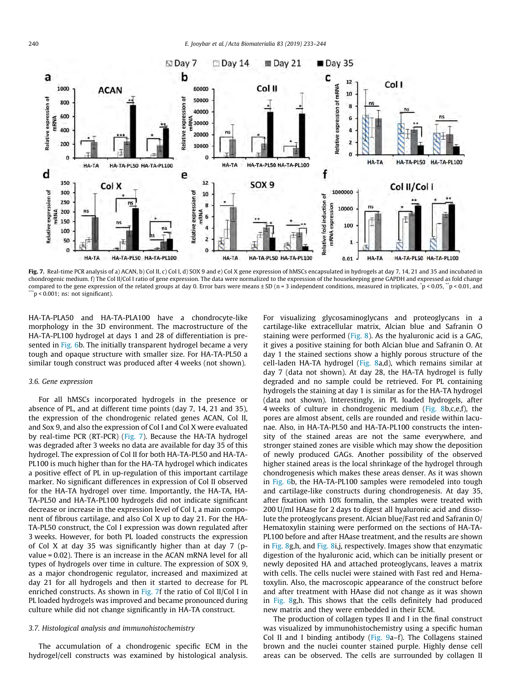

Fig. 7. Real-time PCR analysis of a) ACAN, b) Col II, c) Col I, d) SOX 9 and e) Col X gene expression of hMSCs encapsulated in hydrogels at day 7, 14, 21 and 35 and incubated in chondrogenic medium. f) The Col II/Col I ratio of gene expression. The data were normalized to the expression of the housekeeping gene GAPDH and expressed as fold change compared to the gene expression of the related groups at day 0. Error bars were means ± SD (n = 3 independent conditions, measured in triplicates,  $^{\circ}$ p < 0.05,  $^{\circ}$ p < 0.01, and  $n \leq 0.001$ ; ns: not significant).

HA-TA-PLA50 and HA-TA-PLA100 have a chondrocyte-like morphology in the 3D environment. The macrostructure of the HA-TA-PL100 hydrogel at days 1 and 28 of differentiation is pre-sented in [Fig. 6](#page-6-0)b. The initially transparent hydrogel became a very tough and opaque structure with smaller size. For HA-TA-PL50 a similar tough construct was produced after 4 weeks (not shown).

## 3.6. Gene expression

For all hMSCs incorporated hydrogels in the presence or absence of PL, and at different time points (day 7, 14, 21 and 35), the expression of the chondrogenic related genes ACAN, Col II, and Sox 9, and also the expression of Col I and Col X were evaluated by real-time PCR (RT-PCR) (Fig. 7). Because the HA-TA hydrogel was degraded after 3 weeks no data are available for day 35 of this hydrogel. The expression of Col II for both HA-TA-PL50 and HA-TA-PL100 is much higher than for the HA-TA hydrogel which indicates a positive effect of PL in up-regulation of this important cartilage marker. No significant differences in expression of Col II observed for the HA-TA hydrogel over time. Importantly, the HA-TA, HA-TA-PL50 and HA-TA-PL100 hydrogels did not indicate significant decrease or increase in the expression level of Col I, a main component of fibrous cartilage, and also Col X up to day 21. For the HA-TA-PL50 construct, the Col I expression was down regulated after 3 weeks. However, for both PL loaded constructs the expression of Col X at day 35 was significantly higher than at day 7 (pvalue = 0.02). There is an increase in the ACAN mRNA level for all types of hydrogels over time in culture. The expression of SOX 9, as a major chondrogenic regulator, increased and maximized at day 21 for all hydrogels and then it started to decrease for PL enriched constructs. As shown in Fig. 7f the ratio of Col II/Col I in PL loaded hydrogels was improved and became pronounced during culture while did not change significantly in HA-TA construct.

## 3.7. Histological analysis and immunohistochemistry

The accumulation of a chondrogenic specific ECM in the hydrogel/cell constructs was examined by histological analysis. For visualizing glycosaminoglycans and proteoglycans in a cartilage-like extracellular matrix, Alcian blue and Safranin O staining were performed ([Fig. 8](#page-8-0)). As the hyaluronic acid is a GAG, it gives a positive staining for both Alcian blue and Safranin O. At day 1 the stained sections show a highly porous structure of the cell-laden HA-TA hydrogel [\(Fig. 8a](#page-8-0),d), which remains similar at day 7 (data not shown). At day 28, the HA-TA hydrogel is fully degraded and no sample could be retrieved. For PL containing hydrogels the staining at day 1 is similar as for the HA-TA hydrogel (data not shown). Interestingly, in PL loaded hydrogels, after 4 weeks of culture in chondrogenic medium [\(Fig. 8b](#page-8-0),c,e,f), the pores are almost absent, cells are rounded and reside within lacunae. Also, in HA-TA-PL50 and HA-TA-PL100 constructs the intensity of the stained areas are not the same everywhere, and stronger stained zones are visible which may show the deposition of newly produced GAGs. Another possibility of the observed higher stained areas is the local shrinkage of the hydrogel through chondrogenesis which makes these areas denser. As it was shown in [Fig. 6](#page-6-0)b, the HA-TA-PL100 samples were remodeled into tough and cartilage-like constructs during chondrogenesis. At day 35, after fixation with 10% formalin, the samples were treated with 200 U/ml HAase for 2 days to digest all hyaluronic acid and dissolute the proteoglycans present. Alcian blue/Fast red and Safranin O/ Hematoxylin staining were performed on the sections of HA-TA-PL100 before and after HAase treatment, and the results are shown in [Fig. 8g](#page-8-0),h, and [Fig. 8i](#page-8-0),j, respectively. Images show that enzymatic digestion of the hyaluronic acid, which can be initially present or newly deposited HA and attached proteoglycans, leaves a matrix with cells. The cells nuclei were stained with Fast red and Hematoxylin. Also, the macroscopic appearance of the construct before and after treatment with HAase did not change as it was shown in [Fig. 8g](#page-8-0),h. This shows that the cells definitely had produced new matrix and they were embedded in their ECM.

The production of collagen types II and I in the final construct was visualized by immunohistochemistry using a specific human Col II and I binding antibody ([Fig. 9a](#page-8-0)–f). The Collagens stained brown and the nuclei counter stained purple. Highly dense cell areas can be observed. The cells are surrounded by collagen II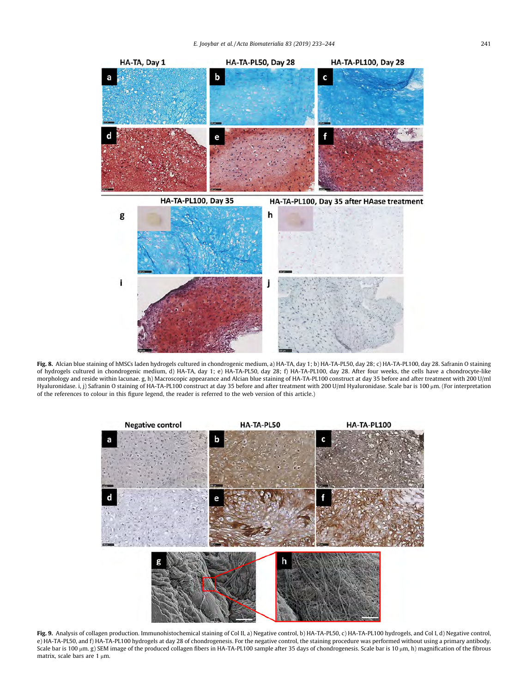<span id="page-8-0"></span>

Fig. 8. Alcian blue staining of hMSCs laden hydrogels cultured in chondrogenic medium, a) HA-TA, day 1; b) HA-TA-PL50, day 28; c) HA-TA-PL100, day 28. Safranin O staining of hydrogels cultured in chondrogenic medium, d) HA-TA, day 1; e) HA-TA-PL50, day 28; f) HA-TA-PL100, day 28. After four weeks, the cells have a chondrocyte-like morphology and reside within lacunae. g, h) Macroscopic appearance and Alcian blue staining of HA-TA-PL100 construct at day 35 before and after treatment with 200 U/ml Hyaluronidase. i, j) Safranin O staining of HA-TA-PL100 construct at day 35 before and after treatment with 200 U/ml Hyaluronidase. Scale bar is 100 µm. (For interpretation of the references to colour in this figure legend, the reader is referred to the web version of this article.)



Fig. 9. Analysis of collagen production. Immunohistochemical staining of Col II, a) Negative control, b) HA-TA-PL50, c) HA-TA-PL100 hydrogels, and Col I, d) Negative control, e) HA-TA-PL50, and f) HA-TA-PL100 hydrogels at day 28 of chondrogenesis. For the negative control, the staining procedure was performed without using a primary antibody. Scale bar is 100 µm. g) SEM image of the produced collagen fibers in HA-TA-PL100 sample after 35 days of chondrogenesis. Scale bar is 10 µm, h) magnification of the fibrous matrix, scale bars are  $1 \mu m$ .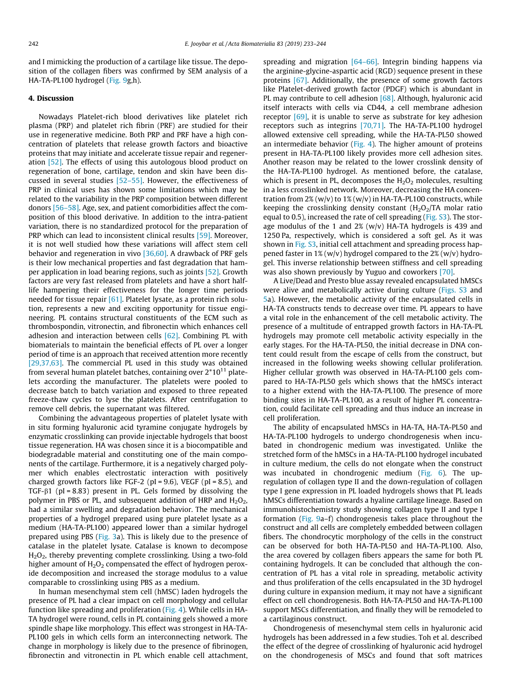and I mimicking the production of a cartilage like tissue. The deposition of the collagen fibers was confirmed by SEM analysis of a HA-TA-PL100 hydrogel [\(Fig. 9g](#page-8-0),h).

## 4. Discussion

Nowadays Platelet-rich blood derivatives like platelet rich plasma (PRP) and platelet rich fibrin (PRF) are studied for their use in regenerative medicine. Both PRP and PRF have a high concentration of platelets that release growth factors and bioactive proteins that may initiate and accelerate tissue repair and regeneration [\[52\].](#page-11-0) The effects of using this autologous blood product on regeneration of bone, cartilage, tendon and skin have been discussed in several studies [\[52–55\]](#page-11-0). However, the effectiveness of PRP in clinical uses has shown some limitations which may be related to the variability in the PRP composition between different donors [\[56–58\]](#page-11-0). Age, sex, and patient comorbidities affect the composition of this blood derivative. In addition to the intra-patient variation, there is no standardized protocol for the preparation of PRP which can lead to inconsistent clinical results [\[59\].](#page-11-0) Moreover, it is not well studied how these variations will affect stem cell behavior and regeneration in vivo [\[36,60\].](#page-11-0) A drawback of PRF gels is their low mechanical properties and fast degradation that hamper application in load bearing regions, such as joints [\[52\].](#page-11-0) Growth factors are very fast released from platelets and have a short halflife hampering their effectiveness for the longer time periods needed for tissue repair [\[61\].](#page-11-0) Platelet lysate, as a protein rich solution, represents a new and exciting opportunity for tissue engineering. PL contains structural constituents of the ECM such as thrombospondin, vitronectin, and fibronectin which enhances cell adhesion and interaction between cells [\[62\]](#page-11-0). Combining PL with biomaterials to maintain the beneficial effects of PL over a longer period of time is an approach that received attention more recently [\[29,37,63\].](#page-11-0) The commercial PL used in this study was obtained from several human platelet batches, containing over  $2*10^{11}$  platelets according the manufacturer. The platelets were pooled to decrease batch to batch variation and exposed to three repeated freeze-thaw cycles to lyse the platelets. After centrifugation to remove cell debris, the supernatant was filtered.

Combining the advantageous properties of platelet lysate with in situ forming hyaluronic acid tyramine conjugate hydrogels by enzymatic crosslinking can provide injectable hydrogels that boost tissue regeneration. HA was chosen since it is a biocompatible and biodegradable material and constituting one of the main components of the cartilage. Furthermore, it is a negatively charged polymer which enables electrostatic interaction with positively charged growth factors like FGF-2 ( $pi = 9.6$ ), VEGF ( $pi = 8.5$ ), and TGF- $\beta$ 1 (pI = 8.83) present in PL. Gels formed by dissolving the polymer in PBS or PL, and subsequent addition of HRP and  $H_2O_2$ , had a similar swelling and degradation behavior. The mechanical properties of a hydrogel prepared using pure platelet lysate as a medium (HA-TA-PL100) appeared lower than a similar hydrogel prepared using PBS ([Fig. 3a](#page-5-0)). This is likely due to the presence of catalase in the platelet lysate. Catalase is known to decompose H2O2, thereby preventing complete crosslinking. Using a two-fold higher amount of  $H_2O_2$  compensated the effect of hydrogen peroxide decomposition and increased the storage modulus to a value comparable to crosslinking using PBS as a medium.

In human mesenchymal stem cell (hMSC) laden hydrogels the presence of PL had a clear impact on cell morphology and cellular function like spreading and proliferation [\(Fig. 4](#page-5-0)). While cells in HA-TA hydrogel were round, cells in PL containing gels showed a more spindle shape like morphology. This effect was strongest in HA-TA-PL100 gels in which cells form an interconnecting network. The change in morphology is likely due to the presence of fibrinogen, fibronectin and vitronectin in PL which enable cell attachment, spreading and migration [\[64–66\]](#page-11-0). Integrin binding happens via the arginine-glycine-aspartic acid (RGD) sequence present in these proteins [\[67\].](#page-11-0) Additionally, the presence of some growth factors like Platelet-derived growth factor (PDGF) which is abundant in PL may contribute to cell adhesion [\[68\]](#page-11-0). Although, hyaluronic acid itself interacts with cells via CD44, a cell membrane adhesion receptor [\[69\]](#page-11-0), it is unable to serve as substrate for key adhesion receptors such as integrins [\[70,71\].](#page-11-0) The HA-TA-PL100 hydrogel allowed extensive cell spreading, while the HA-TA-PL50 showed an intermediate behavior [\(Fig. 4](#page-5-0)). The higher amount of proteins present in HA-TA-PL100 likely provides more cell adhesion sites. Another reason may be related to the lower crosslink density of the HA-TA-PL100 hydrogel. As mentioned before, the catalase, which is present in PL, decomposes the  $H_2O_2$  molecules, resulting in a less crosslinked network. Moreover, decreasing the HA concentration from  $2\%$  (w/v) to  $1\%$  (w/v) in HA-TA-PL100 constructs, while keeping the crosslinking density constant  $(H<sub>2</sub>O<sub>2</sub>/TA$  molar ratio equal to 0.5), increased the rate of cell spreading (Fig. S3). The storage modulus of the 1 and  $2\%$  (w/v) HA-TA hydrogels is 439 and 1250 Pa, respectively, which is considered a soft gel. As it was shown in Fig. S3, initial cell attachment and spreading process happened faster in  $1\%$  (w/v) hydrogel compared to the  $2\%$  (w/v) hydrogel. This inverse relationship between stiffness and cell spreading was also shown previously by Yuguo and coworkers [\[70\]](#page-11-0).

A Live/Dead and Presto blue assay revealed encapsulated hMSCs were alive and metabolically active during culture (Figs. S3 and [5](#page-6-0)a). However, the metabolic activity of the encapsulated cells in HA-TA constructs tends to decrease over time. PL appears to have a vital role in the enhancement of the cell metabolic activity. The presence of a multitude of entrapped growth factors in HA-TA-PL hydrogels may promote cell metabolic activity especially in the early stages. For the HA-TA-PL50, the initial decrease in DNA content could result from the escape of cells from the construct, but increased in the following weeks showing cellular proliferation. Higher cellular growth was observed in HA-TA-PL100 gels compared to HA-TA-PL50 gels which shows that the hMSCs interact to a higher extend with the HA-TA-PL100. The presence of more binding sites in HA-TA-PL100, as a result of higher PL concentration, could facilitate cell spreading and thus induce an increase in cell proliferation.

The ability of encapsulated hMSCs in HA-TA, HA-TA-PL50 and HA-TA-PL100 hydrogels to undergo chondrogenesis when incubated in chondrogenic medium was investigated. Unlike the stretched form of the hMSCs in a HA-TA-PL100 hydrogel incubated in culture medium, the cells do not elongate when the construct was incubated in chondrogenic medium [\(Fig. 6\)](#page-6-0). The upregulation of collagen type II and the down-regulation of collagen type I gene expression in PL loaded hydrogels shows that PL leads hMSCs differentiation towards a hyaline cartilage lineage. Based on immunohistochemistry study showing collagen type II and type I formation ([Fig. 9](#page-8-0)a–f) chondrogenesis takes place throughout the construct and all cells are completely embedded between collagen fibers. The chondrocytic morphology of the cells in the construct can be observed for both HA-TA-PL50 and HA-TA-PL100. Also, the area covered by collagen fibers appears the same for both PL containing hydrogels. It can be concluded that although the concentration of PL has a vital role in spreading, metabolic activity and thus proliferation of the cells encapsulated in the 3D hydrogel during culture in expansion medium, it may not have a significant effect on cell chondrogenesis. Both HA-TA-PL50 and HA-TA-PL100 support MSCs differentiation, and finally they will be remodeled to a cartilaginous construct.

Chondrogenesis of mesenchymal stem cells in hyaluronic acid hydrogels has been addressed in a few studies. Toh et al. described the effect of the degree of crosslinking of hyaluronic acid hydrogel on the chondrogenesis of MSCs and found that soft matrices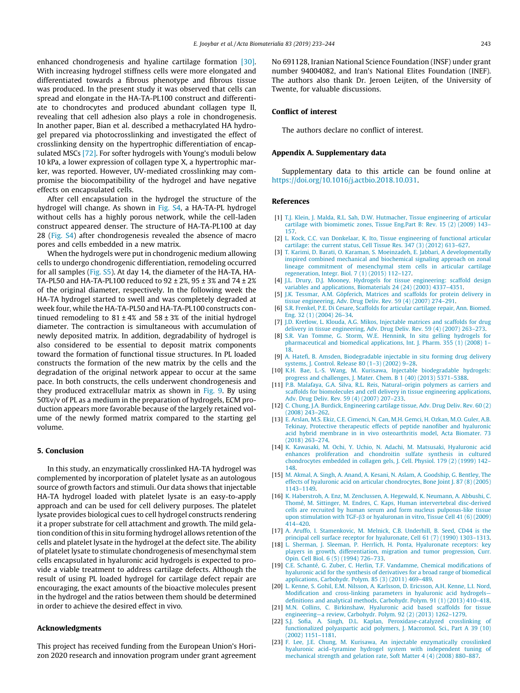<span id="page-10-0"></span>enhanced chondrogenesis and hyaline cartilage formation [\[30\].](#page-11-0) With increasing hydrogel stiffness cells were more elongated and differentiated towards a fibrous phenotype and fibrous tissue was produced. In the present study it was observed that cells can spread and elongate in the HA-TA-PL100 construct and differentiate to chondrocytes and produced abundant collagen type II, revealing that cell adhesion also plays a role in chondrogenesis. In another paper, Bian et al. described a methacrylated HA hydrogel prepared via photocrosslinking and investigated the effect of crosslinking density on the hypertrophic differentiation of encapsulated MSCs [\[72\].](#page-11-0) For softer hydrogels with Young's moduli below 10 kPa, a lower expression of collagen type X, a hypertrophic marker, was reported. However, UV-mediated crosslinking may compromise the biocompatibility of the hydrogel and have negative effects on encapsulated cells.

After cell encapsulation in the hydrogel the structure of the hydrogel will change. As shown in Fig. S4, a HA-TA-PL hydrogel without cells has a highly porous network, while the cell-laden construct appeared denser. The structure of HA-TA-PL100 at day 28 (Fig. S4) after chondrogenesis revealed the absence of macro pores and cells embedded in a new matrix.

When the hydrogels were put in chondrogenic medium allowing cells to undergo chondrogenic differentiation, remodeling occurred for all samples (Fig. S5). At day 14, the diameter of the HA-TA, HA-TA-PL50 and HA-TA-PL100 reduced to 92 ± 2%, 95 ± 3% and 74 ± 2% of the original diameter, respectively. In the following week the HA-TA hydrogel started to swell and was completely degraded at week four, while the HA-TA-PL50 and HA-TA-PL100 constructs continued remodeling to  $81 \pm 4\%$  and  $58 \pm 3\%$  of the initial hydrogel diameter. The contraction is simultaneous with accumulation of newly deposited matrix. In addition, degradability of hydrogel is also considered to be essential to deposit matrix components toward the formation of functional tissue structures. In PL loaded constructs the formation of the new matrix by the cells and the degradation of the original network appear to occur at the same pace. In both constructs, the cells underwent chondrogenesis and they produced extracellular matrix as shown in [Fig. 9.](#page-8-0) By using 50%v/v of PL as a medium in the preparation of hydrogels, ECM production appears more favorable because of the largely retained volume of the newly formed matrix compared to the starting gel volume.

## 5. Conclusion

In this study, an enzymatically crosslinked HA-TA hydrogel was complemented by incorporation of platelet lysate as an autologous source of growth factors and stimuli. Our data shows that injectable HA-TA hydrogel loaded with platelet lysate is an easy-to-apply approach and can be used for cell delivery purposes. The platelet lysate provides biological cues to cell hydrogel constructs rendering it a proper substrate for cell attachment and growth. The mild gelation condition of this in situ forming hydrogel allows retention of the cells and platelet lysate in the hydrogel at the defect site. The ability of platelet lysate to stimulate chondrogenesis of mesenchymal stem cells encapsulated in hyaluronic acid hydrogels is expected to provide a viable treatment to address cartilage defects. Although the result of using PL loaded hydrogel for cartilage defect repair are encouraging, the exact amounts of the bioactive molecules present in the hydrogel and the ratios between them should be determined in order to achieve the desired effect in vivo.

## Acknowledgments

This project has received funding from the European Union's Horizon 2020 research and innovation program under grant agreement No 691128, Iranian National Science Foundation (INSF) under grant number 94004082, and Iran's National Elites Foundation (INEF). The authors also thank Dr. Jeroen Leijten, of the University of Twente, for valuable discussions.

## Conflict of interest

The authors declare no conflict of interest.

## Appendix A. Supplementary data

Supplementary data to this article can be found online at <https://doi.org/10.1016/j.actbio.2018.10.031>.

## References

- [1] [T.J. Klein, J. Malda, R.L. Sah, D.W. Hutmacher, Tissue engineering of articular](http://refhub.elsevier.com/S1742-7061(18)30630-5/h0005) [cartilage with biomimetic zones, Tissue Eng.Part B: Rev. 15 \(2\) \(2009\) 143–](http://refhub.elsevier.com/S1742-7061(18)30630-5/h0005) [157.](http://refhub.elsevier.com/S1742-7061(18)30630-5/h0005)
- [2] [L. Kock, C.C. van Donkelaar, K. Ito, Tissue engineering of functional articular](http://refhub.elsevier.com/S1742-7061(18)30630-5/h0010) [cartilage: the current status, Cell Tissue Res. 347 \(3\) \(2012\) 613–627.](http://refhub.elsevier.com/S1742-7061(18)30630-5/h0010)
- [3] [T. Karimi, D. Barati, O. Karaman, S. Moeinzadeh, E. Jabbari, A developmentally](http://refhub.elsevier.com/S1742-7061(18)30630-5/h0015) [inspired combined mechanical and biochemical signaling approach on zonal](http://refhub.elsevier.com/S1742-7061(18)30630-5/h0015) [lineage commitment of mesenchymal stem cells in articular cartilage](http://refhub.elsevier.com/S1742-7061(18)30630-5/h0015) [regeneration, Integr. Biol. 7 \(1\) \(2015\) 112–127](http://refhub.elsevier.com/S1742-7061(18)30630-5/h0015).
- [4] [J.L. Drury, D.J. Mooney, Hydrogels for tissue engineering: scaffold design](http://refhub.elsevier.com/S1742-7061(18)30630-5/h0020) [variables and applications, Biomaterials 24 \(24\) \(2003\) 4337–4351](http://refhub.elsevier.com/S1742-7061(18)30630-5/h0020).
- [5] [J.K. Tessmar, A.M. Göpferich, Matrices and scaffolds for protein delivery in](http://refhub.elsevier.com/S1742-7061(18)30630-5/h0025) [tissue engineering, Adv. Drug Deliv. Rev. 59 \(4\) \(2007\) 274–291](http://refhub.elsevier.com/S1742-7061(18)30630-5/h0025).
- [6] [S.R. Frenkel, P.E. Di Cesare, Scaffolds for articular cartilage repair, Ann. Biomed.](http://refhub.elsevier.com/S1742-7061(18)30630-5/h0030) [Eng. 32 \(1\) \(2004\) 26–34](http://refhub.elsevier.com/S1742-7061(18)30630-5/h0030).
- [7] [J.D. Kretlow, L. Klouda, A.G. Mikos, Injectable matrices and scaffolds for drug](http://refhub.elsevier.com/S1742-7061(18)30630-5/h0035)
- [delivery in tissue engineering, Adv. Drug Deliv. Rev. 59 \(4\) \(2007\) 263–273](http://refhub.elsevier.com/S1742-7061(18)30630-5/h0035). [8] [S.R. Van Tomme, G. Storm, W.E. Hennink, In situ gelling hydrogels for](http://refhub.elsevier.com/S1742-7061(18)30630-5/h0040) [pharmaceutical and biomedical applications, Int. J. Pharm. 355 \(1\) \(2008\) 1–](http://refhub.elsevier.com/S1742-7061(18)30630-5/h0040) [18](http://refhub.elsevier.com/S1742-7061(18)30630-5/h0040).
- [9] [A. Hatefi, B. Amsden, Biodegradable injectable in situ forming drug delivery](http://refhub.elsevier.com/S1742-7061(18)30630-5/h0045) [systems, J. Control. Release 80 \(1–3\) \(2002\) 9–28](http://refhub.elsevier.com/S1742-7061(18)30630-5/h0045).
- [10] [K.H. Bae, L.-S. Wang, M. Kurisawa, Injectable biodegradable hydrogels:](http://refhub.elsevier.com/S1742-7061(18)30630-5/h0050) [progress and challenges, J. Mater. Chem. B 1 \(40\) \(2013\) 5371–5388](http://refhub.elsevier.com/S1742-7061(18)30630-5/h0050).
- [11] [P.B. Malafaya, G.A. Silva, R.L. Reis, Natural–origin polymers as carriers and](http://refhub.elsevier.com/S1742-7061(18)30630-5/h0055) [scaffolds for biomolecules and cell delivery in tissue engineering applications,](http://refhub.elsevier.com/S1742-7061(18)30630-5/h0055) [Adv. Drug Deliv. Rev. 59 \(4\) \(2007\) 207–233.](http://refhub.elsevier.com/S1742-7061(18)30630-5/h0055)
- [12] [C. Chung, J.A. Burdick, Engineering cartilage tissue, Adv. Drug Deliv. Rev. 60 \(2\)](http://refhub.elsevier.com/S1742-7061(18)30630-5/h0060) [\(2008\) 243–262.](http://refhub.elsevier.com/S1742-7061(18)30630-5/h0060)
- [13] [E. Arslan, M.S. Ekiz, C.E. Cimenci, N. Can, M.H. Gemci, H. Ozkan, M.O. Guler, A.B.](http://refhub.elsevier.com/S1742-7061(18)30630-5/h0065) [Tekinay, Protective therapeutic effects of peptide nanofiber and hyaluronic](http://refhub.elsevier.com/S1742-7061(18)30630-5/h0065) [acid hybrid membrane in in vivo osteoarthritis model, Acta Biomater. 73](http://refhub.elsevier.com/S1742-7061(18)30630-5/h0065) [\(2018\) 263–274.](http://refhub.elsevier.com/S1742-7061(18)30630-5/h0065)
- [14] [K. Kawasaki, M. Ochi, Y. Uchio, N. Adachi, M. Matsusaki, Hyaluronic acid](http://refhub.elsevier.com/S1742-7061(18)30630-5/h0070) [enhances proliferation and chondroitin sulfate synthesis in cultured](http://refhub.elsevier.com/S1742-7061(18)30630-5/h0070) [chondrocytes embedded in collagen gels, J. Cell. Physiol. 179 \(2\) \(1999\) 142–](http://refhub.elsevier.com/S1742-7061(18)30630-5/h0070) [148.](http://refhub.elsevier.com/S1742-7061(18)30630-5/h0070)
- [15] [M. Akmal, A. Singh, A. Anand, A. Kesani, N. Aslam, A. Goodship, G. Bentley, The](http://refhub.elsevier.com/S1742-7061(18)30630-5/h0075) [effects of hyaluronic acid on articular chondrocytes, Bone Joint J. 87 \(8\) \(2005\)](http://refhub.elsevier.com/S1742-7061(18)30630-5/h0075) [1143–1149](http://refhub.elsevier.com/S1742-7061(18)30630-5/h0075).
- [16] [K. Haberstroh, A. Enz, M. Zenclussen, A. Hegewald, K. Neumann, A. Abbushi, C.](http://refhub.elsevier.com/S1742-7061(18)30630-5/h0080) [Thomé, M. Sittinger, M. Endres, C. Kaps, Human intervertebral disc-derived](http://refhub.elsevier.com/S1742-7061(18)30630-5/h0080) [cells are recruited by human serum and form nucleus pulposus-like tissue](http://refhub.elsevier.com/S1742-7061(18)30630-5/h0080) upon stimulation with TGF- $\beta$ [3 or hyaluronan in vitro, Tissue Cell 41 \(6\) \(2009\)](http://refhub.elsevier.com/S1742-7061(18)30630-5/h0080) [414–420.](http://refhub.elsevier.com/S1742-7061(18)30630-5/h0080)
- [17] [A. Aruffo, I. Stamenkovic, M. Melnick, C.B. Underhill, B. Seed, CD44 is the](http://refhub.elsevier.com/S1742-7061(18)30630-5/h0085) [principal cell surface receptor for hyaluronate, Cell 61 \(7\) \(1990\) 1303–1313.](http://refhub.elsevier.com/S1742-7061(18)30630-5/h0085)
- [18] [L. Sherman, J. Sleeman, P. Herrlich, H. Ponta, Hyaluronate receptors: key](http://refhub.elsevier.com/S1742-7061(18)30630-5/h0090) [players in growth, differentiation, migration and tumor progression, Curr.](http://refhub.elsevier.com/S1742-7061(18)30630-5/h0090) [Opin. Cell Biol. 6 \(5\) \(1994\) 726–733.](http://refhub.elsevier.com/S1742-7061(18)30630-5/h0090)
- [19] [C.E. Schanté, G. Zuber, C. Herlin, T.F. Vandamme, Chemical modifications of](http://refhub.elsevier.com/S1742-7061(18)30630-5/h0095) [hyaluronic acid for the synthesis of derivatives for a broad range of biomedical](http://refhub.elsevier.com/S1742-7061(18)30630-5/h0095) [applications, Carbohydr. Polym. 85 \(3\) \(2011\) 469–489.](http://refhub.elsevier.com/S1742-7061(18)30630-5/h0095)
- [20] [L. Kenne, S. Gohil, E.M. Nilsson, A. Karlsson, D. Ericsson, A.H. Kenne, L.I. Nord,](http://refhub.elsevier.com/S1742-7061(18)30630-5/h0100) [Modification and cross-linking parameters in hyaluronic acid hydrogels](http://refhub.elsevier.com/S1742-7061(18)30630-5/h0100) [definitions and analytical methods, Carbohydr. Polym. 91 \(1\) \(2013\) 410–418.](http://refhub.elsevier.com/S1742-7061(18)30630-5/h0100)
- [21] [M.N. Collins, C. Birkinshaw, Hyaluronic acid based scaffolds for tissue](http://refhub.elsevier.com/S1742-7061(18)30630-5/h0105) [engineering—a review, Carbohydr. Polym. 92 \(2\) \(2013\) 1262–1279](http://refhub.elsevier.com/S1742-7061(18)30630-5/h0105).
- [22] [S.J. Sofia, A. Singh, D.L. Kaplan, Peroxidase-catalyzed crosslinking of](http://refhub.elsevier.com/S1742-7061(18)30630-5/h0110) [functionalized polyaspartic acid polymers, J. Macromol. Sci., Part A 39 \(10\)](http://refhub.elsevier.com/S1742-7061(18)30630-5/h0110) [\(2002\) 1151–1181.](http://refhub.elsevier.com/S1742-7061(18)30630-5/h0110)
- [23] [F. Lee, J.E. Chung, M. Kurisawa, An injectable enzymatically crosslinked](http://refhub.elsevier.com/S1742-7061(18)30630-5/h0115) [hyaluronic acid–tyramine hydrogel system with independent tuning of](http://refhub.elsevier.com/S1742-7061(18)30630-5/h0115) [mechanical strength and gelation rate, Soft Matter 4 \(4\) \(2008\) 880–887.](http://refhub.elsevier.com/S1742-7061(18)30630-5/h0115)